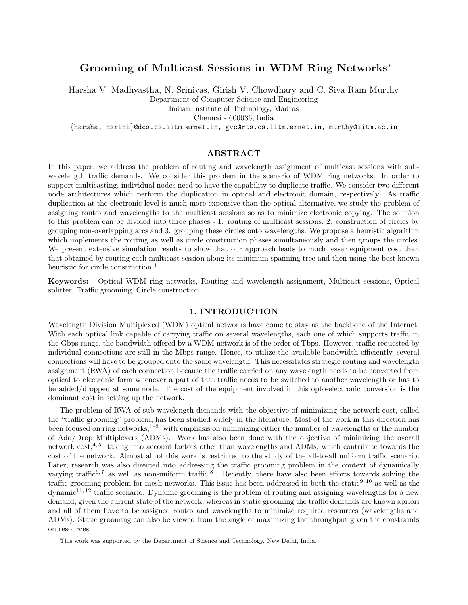# Grooming of Multicast Sessions in WDM Ring Networks<sup>∗</sup>

Harsha V. Madhyastha, N. Srinivas, Girish V. Chowdhary and C. Siva Ram Murthy

Department of Computer Science and Engineering

Indian Institute of Technology, Madras

Chennai - 600036, India

{harsha, nsrini}@dcs.cs.iitm.ernet.in, gvc@rts.cs.iitm.ernet.in, murthy@iitm.ac.in

### ${\rm ABSTRACT}$

In this paper, we address the problem of routing and wavelength assignment of multicast sessions with subwavelength traffic demands. We consider this problem in the scenario of WDM ring networks. In order to support multicasting, individual nodes need to have the capability to duplicate traffic. We consider two different node architectures which perform the duplication in optical and electronic domain, respectively. As traffic duplication at the electronic level is much more expensive than the optical alternative, we study the problem of assigning routes and wavelengths to the multicast sessions so as to minimize electronic copying. The solution to this problem can be divided into three phases - 1. routing of multicast sessions, 2. construction of circles by grouping non-overlapping arcs and 3. grouping these circles onto wavelengths. We propose a heuristic algorithm which implements the routing as well as circle construction phases simultaneously and then groups the circles. We present extensive simulation results to show that our approach leads to much lesser equipment cost than that obtained by routing each multicast session along its minimum spanning tree and then using the best known heuristic for circle construction.<sup>1</sup>

Keywords: Optical WDM ring networks, Routing and wavelength assignment, Multicast sessions, Optical splitter, Traffic grooming, Circle construction

### 1. INTRODUCTION

Wavelength Division Multiplexed (WDM) optical networks have come to stay as the backbone of the Internet. With each optical link capable of carrying traffic on several wavelengths, each one of which supports traffic in the Gbps range, the bandwidth offered by a WDM network is of the order of Tbps. However, traffic requested by individual connections are still in the Mbps range. Hence, to utilize the available bandwidth efficiently, several connections will have to be grouped onto the same wavelength. This necessitates strategic routing and wavelength assignment (RWA) of each connection because the traffic carried on any wavelength needs to be converted from optical to electronic form whenever a part of that traffic needs to be switched to another wavelength or has to be added/dropped at some node. The cost of the equipment involved in this opto-electronic conversion is the dominant cost in setting up the network.

The problem of RWA of sub-wavelength demands with the objective of minimizing the network cost, called the "traffic grooming" problem, has been studied widely in the literature. Most of the work in this direction has been focused on ring networks, $1-3$  with emphasis on minimizing either the number of wavelengths or the number of Add/Drop Multiplexers (ADMs). Work has also been done with the objective of minimizing the overall network cost,<sup>4,5</sup> taking into account factors other than wavelengths and ADMs, which contribute towards the cost of the network. Almost all of this work is restricted to the study of the all-to-all uniform traffic scenario. Later, research was also directed into addressing the traffic grooming problem in the context of dynamically varying traffic<sup>6,7</sup> as well as non-uniform traffic.<sup>8</sup> Recently, there have also been efforts towards solving the traffic grooming problem for mesh networks. This issue has been addressed in both the static<sup>9, 10</sup> as well as the dynamic<sup>11, 12</sup> traffic scenario. Dynamic grooming is the problem of routing and assigning wavelengths for a new demand, given the current state of the network, whereas in static grooming the traffic demands are known apriori and all of them have to be assigned routes and wavelengths to minimize required resources (wavelengths and ADMs). Static grooming can also be viewed from the angle of maximizing the throughput given the constraints on resources.

This work was supported by the Department of Science and Technology, New Delhi, India.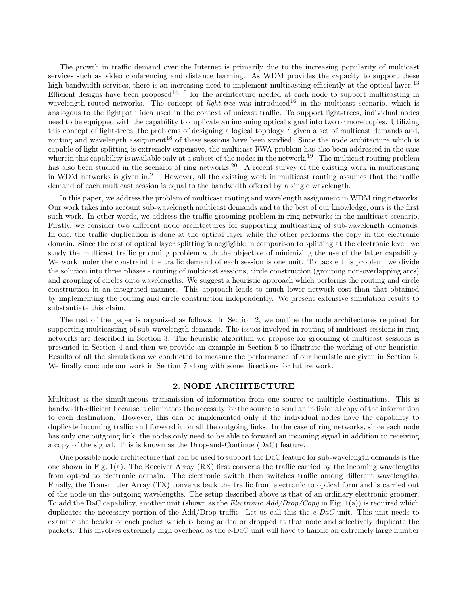The growth in traffic demand over the Internet is primarily due to the increasing popularity of multicast services such as video conferencing and distance learning. As WDM provides the capacity to support these high-bandwidth services, there is an increasing need to implement multicasting efficiently at the optical layer.<sup>13</sup> Efficient designs have been proposed<sup>14, 15</sup> for the architecture needed at each node to support multicasting in wavelength-routed networks. The concept of *light-tree* was introduced<sup>16</sup> in the multicast scenario, which is analogous to the lightpath idea used in the context of unicast traffic. To support light-trees, individual nodes need to be equipped with the capability to duplicate an incoming optical signal into two or more copies. Utilizing this concept of light-trees, the problems of designing a logical topology<sup>17</sup> given a set of multicast demands and, routing and wavelength assignment<sup>18</sup> of these sessions have been studied. Since the node architecture which is capable of light splitting is extremely expensive, the multicast RWA problem has also been addressed in the case wherein this capability is available only at a subset of the nodes in the network.<sup>19</sup> The multicast routing problem has also been studied in the scenario of ring networks.<sup>20</sup> A recent survey of the existing work in multicasting in WDM networks is given in.<sup>21</sup> However, all the existing work in multicast routing assumes that the traffic demand of each multicast session is equal to the bandwidth offered by a single wavelength.

In this paper, we address the problem of multicast routing and wavelength assignment in WDM ring networks. Our work takes into account sub-wavelength multicast demands and to the best of our knowledge, ours is the first such work. In other words, we address the traffic grooming problem in ring networks in the multicast scenario. Firstly, we consider two different node architectures for supporting multicasting of sub-wavelength demands. In one, the traffic duplication is done at the optical layer while the other performs the copy in the electronic domain. Since the cost of optical layer splitting is negligible in comparison to splitting at the electronic level, we study the multicast traffic grooming problem with the objective of minimizing the use of the latter capability. We work under the constraint the traffic demand of each session is one unit. To tackle this problem, we divide the solution into three phases - routing of multicast sessions, circle construction (grouping non-overlapping arcs) and grouping of circles onto wavelengths. We suggest a heuristic approach which performs the routing and circle construction in an integrated manner. This approach leads to much lower network cost than that obtained by implementing the routing and circle construction independently. We present extensive simulation results to substantiate this claim.

The rest of the paper is organized as follows. In Section 2, we outline the node architectures required for supporting multicasting of sub-wavelength demands. The issues involved in routing of multicast sessions in ring networks are described in Section 3. The heuristic algorithm we propose for grooming of multicast sessions is presented in Section 4 and then we provide an example in Section 5 to illustrate the working of our heuristic. Results of all the simulations we conducted to measure the performance of our heuristic are given in Section 6. We finally conclude our work in Section 7 along with some directions for future work.

### 2. NODE ARCHITECTURE

Multicast is the simultaneous transmission of information from one source to multiple destinations. This is bandwidth-efficient because it eliminates the necessity for the source to send an individual copy of the information to each destination. However, this can be implemented only if the individual nodes have the capability to duplicate incoming traffic and forward it on all the outgoing links. In the case of ring networks, since each node has only one outgoing link, the nodes only need to be able to forward an incoming signal in addition to receiving a copy of the signal. This is known as the Drop-and-Continue (DaC) feature.

One possible node architecture that can be used to support the DaC feature for sub-wavelength demands is the one shown in Fig. 1(a). The Receiver Array (RX) first converts the traffic carried by the incoming wavelengths from optical to electronic domain. The electronic switch then switches traffic among different wavelengths. Finally, the Transmitter Array (TX) converts back the traffic from electronic to optical form and is carried out of the node on the outgoing wavelengths. The setup described above is that of an ordinary electronic groomer. To add the DaC capability, another unit (shown as the *Electronic Add/Drop/Copy* in Fig. 1(a)) is required which duplicates the necessary portion of the Add/Drop traffic. Let us call this the  $e$ -DaC unit. This unit needs to examine the header of each packet which is being added or dropped at that node and selectively duplicate the packets. This involves extremely high overhead as the e-DaC unit will have to handle an extremely large number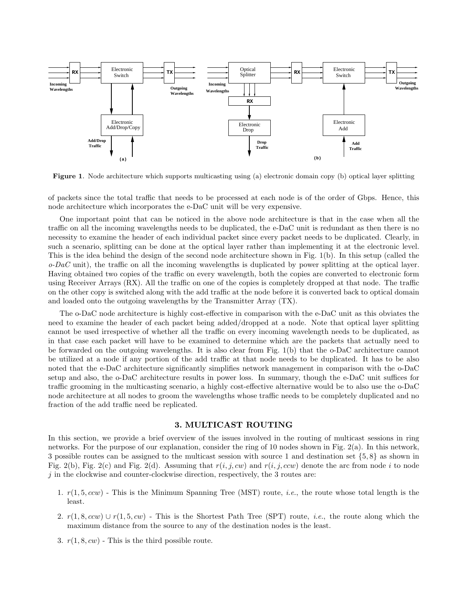

Figure 1. Node architecture which supports multicasting using (a) electronic domain copy (b) optical layer splitting

of packets since the total traffic that needs to be processed at each node is of the order of Gbps. Hence, this node architecture which incorporates the e-DaC unit will be very expensive.

One important point that can be noticed in the above node architecture is that in the case when all the traffic on all the incoming wavelengths needs to be duplicated, the e-DaC unit is redundant as then there is no necessity to examine the header of each individual packet since every packet needs to be duplicated. Clearly, in such a scenario, splitting can be done at the optical layer rather than implementing it at the electronic level. This is the idea behind the design of the second node architecture shown in Fig. 1(b). In this setup (called the  $o\text{-}DaC$  unit), the traffic on all the incoming wavelengths is duplicated by power splitting at the optical layer. Having obtained two copies of the traffic on every wavelength, both the copies are converted to electronic form using Receiver Arrays (RX). All the traffic on one of the copies is completely dropped at that node. The traffic on the other copy is switched along with the add traffic at the node before it is converted back to optical domain and loaded onto the outgoing wavelengths by the Transmitter Array (TX).

The o-DaC node architecture is highly cost-effective in comparison with the e-DaC unit as this obviates the need to examine the header of each packet being added/dropped at a node. Note that optical layer splitting cannot be used irrespective of whether all the traffic on every incoming wavelength needs to be duplicated, as in that case each packet will have to be examined to determine which are the packets that actually need to be forwarded on the outgoing wavelengths. It is also clear from Fig. 1(b) that the o-DaC architecture cannot be utilized at a node if any portion of the add traffic at that node needs to be duplicated. It has to be also noted that the e-DaC architecture significantly simplifies network management in comparison with the o-DaC setup and also, the o-DaC architecture results in power loss. In summary, though the e-DaC unit suffices for traffic grooming in the multicasting scenario, a highly cost-effective alternative would be to also use the o-DaC node architecture at all nodes to groom the wavelengths whose traffic needs to be completely duplicated and no fraction of the add traffic need be replicated.

## 3. MULTICAST ROUTING

In this section, we provide a brief overview of the issues involved in the routing of multicast sessions in ring networks. For the purpose of our explanation, consider the ring of 10 nodes shown in Fig. 2(a). In this network, 3 possible routes can be assigned to the multicast session with source 1 and destination set {5, 8} as shown in Fig. 2(b), Fig. 2(c) and Fig. 2(d). Assuming that  $r(i, j, cw)$  and  $r(i, j, cw)$  denote the arc from node i to node  $j$  in the clockwise and counter-clockwise direction, respectively, the 3 routes are:

- 1.  $r(1, 5, ccw)$  This is the Minimum Spanning Tree (MST) route, *i.e.*, the route whose total length is the least.
- 2.  $r(1, 8, ccw) \cup r(1, 5, cw)$  This is the Shortest Path Tree (SPT) route, *i.e.*, the route along which the maximum distance from the source to any of the destination nodes is the least.
- 3.  $r(1, 8, cw)$  This is the third possible route.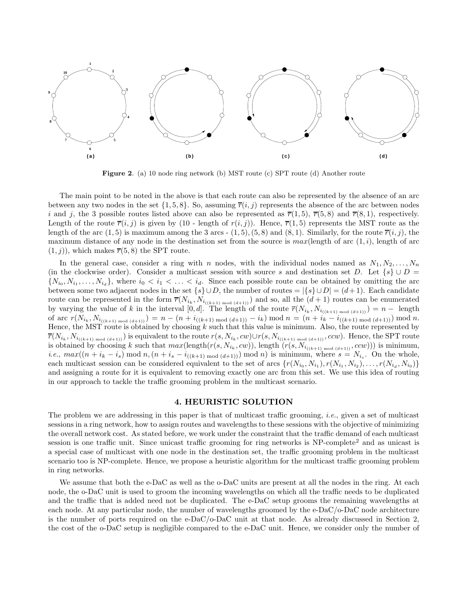

Figure 2. (a) 10 node ring network (b) MST route (c) SPT route (d) Another route

The main point to be noted in the above is that each route can also be represented by the absence of an arc between any two nodes in the set  $\{1, 5, 8\}$ . So, assuming  $\overline{r}(i, j)$  represents the absence of the arc between nodes i and j, the 3 possible routes listed above can also be represented as  $\overline{r}(1, 5)$ ,  $\overline{r}(5, 8)$  and  $\overline{r}(8, 1)$ , respectively. Length of the route  $\overline{r}(i,j)$  is given by (10 - length of  $r(i,j)$ ). Hence,  $\overline{r}(1,5)$  represents the MST route as the length of the arc  $(1, 5)$  is maximum among the 3 arcs -  $(1, 5)$ ,  $(5, 8)$  and  $(8, 1)$ . Similarly, for the route  $\overline{r}(i, j)$ , the maximum distance of any node in the destination set from the source is  $max(length of arc (1, i), length of arc)$  $(1, j)$ , which makes  $\overline{r}(5, 8)$  the SPT route.

In the general case, consider a ring with n nodes, with the individual nodes named as  $N_1, N_2, \ldots, N_n$ (in the clockwise order). Consider a multicast session with source s and destination set D. Let  $\{s\} \cup D =$  $\{N_{i_0}, N_{i_1}, \ldots, N_{i_d}\}\,$ , where  $i_0 < i_1 < \ldots < i_d$ . Since each possible route can be obtained by omitting the arc between some two adjacent nodes in the set  $\{s\} \cup D$ , the number of routes =  $|\{s\} \cup D| = (d+1)$ . Each candidate route can be represented in the form  $\overline{r}(N_{i_k}, N_{i_{((k+1) \mod (d+1)})})$  and so, all the  $(d+1)$  routes can be enumerated by varying the value of k in the interval [0, d]. The length of the route  $\overline{r}(N_{i_k}, N_{i_{((k+1) \mod (d+1))}}) = n - \text{ length}$ of arc  $r(N_{i_k}, N_{i_{((k+1) \mod (d+1))}}) = n - (n + i_{((k+1) \mod (d+1))} - i_k) \mod n = (n + i_k - i_{((k+1) \mod (d+1))}) \mod n$ . Hence, the MST route is obtained by choosing  $k$  such that this value is minimum. Also, the route represented by  $\overline{r}(N_{i_k}, N_{i_{((k+1) \mod (d+1))}})$  is equivalent to the route  $r(s, N_{i_k}, cw) \cup r(s, N_{i_{((k+1) \mod (d+1))}}, ccw)$ . Hence, the SPT route is obtained by choosing k such that  $max(\text{length}(r(s, N_{i_k}, cw))$ , length  $(r(s, N_{i_{((k+1) \text{ mod } (d+1))}}, ccw)))$  is minimum, *i.e.*,  $max((n + i_k - i_s) \mod n, (n + i_s - i_{((k+1) \mod (d+1)})) \mod n)$  is minimum, where  $s = N_{i_s}$ . On the whole, each multicast session can be considered equivalent to the set of arcs  $\{r(N_{i_0}, N_{i_1}), r(N_{i_1}, N_{i_2}), \ldots, r(N_{i_d}, N_{i_0})\}$ and assigning a route for it is equivalent to removing exactly one arc from this set. We use this idea of routing in our approach to tackle the traffic grooming problem in the multicast scenario.

### 4. HEURISTIC SOLUTION

The problem we are addressing in this paper is that of multicast traffic grooming, *i.e.*, given a set of multicast sessions in a ring network, how to assign routes and wavelengths to these sessions with the objective of minimizing the overall network cost. As stated before, we work under the constraint that the traffic demand of each multicast session is one traffic unit. Since unicast traffic grooming for ring networks is  $NP$ -complete<sup>2</sup> and as unicast is a special case of multicast with one node in the destination set, the traffic grooming problem in the multicast scenario too is NP-complete. Hence, we propose a heuristic algorithm for the multicast traffic grooming problem in ring networks.

We assume that both the e-DaC as well as the o-DaC units are present at all the nodes in the ring. At each node, the o-DaC unit is used to groom the incoming wavelengths on which all the traffic needs to be duplicated and the traffic that is added need not be duplicated. The e-DaC setup grooms the remaining wavelengths at each node. At any particular node, the number of wavelengths groomed by the e-DaC/o-DaC node architecture is the number of ports required on the e-DaC/o-DaC unit at that node. As already discussed in Section 2, the cost of the o-DaC setup is negligible compared to the e-DaC unit. Hence, we consider only the number of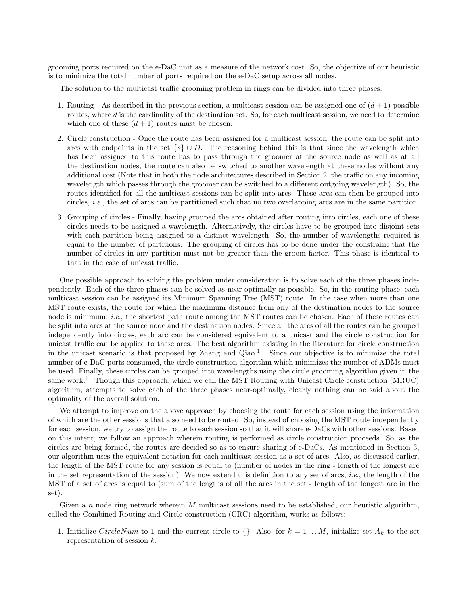grooming ports required on the e-DaC unit as a measure of the network cost. So, the objective of our heuristic is to minimize the total number of ports required on the e-DaC setup across all nodes.

The solution to the multicast traffic grooming problem in rings can be divided into three phases:

- 1. Routing As described in the previous section, a multicast session can be assigned one of  $(d+1)$  possible routes, where d is the cardinality of the destination set. So, for each multicast session, we need to determine which one of these  $(d+1)$  routes must be chosen.
- 2. Circle construction Once the route has been assigned for a multicast session, the route can be split into arcs with endpoints in the set  $\{s\} \cup D$ . The reasoning behind this is that since the wavelength which has been assigned to this route has to pass through the groomer at the source node as well as at all the destination nodes, the route can also be switched to another wavelength at these nodes without any additional cost (Note that in both the node architectures described in Section 2, the traffic on any incoming wavelength which passes through the groomer can be switched to a different outgoing wavelength). So, the routes identified for all the multicast sessions can be split into arcs. These arcs can then be grouped into circles, i.e., the set of arcs can be partitioned such that no two overlapping arcs are in the same partition.
- 3. Grouping of circles Finally, having grouped the arcs obtained after routing into circles, each one of these circles needs to be assigned a wavelength. Alternatively, the circles have to be grouped into disjoint sets with each partition being assigned to a distinct wavelength. So, the number of wavelengths required is equal to the number of partitions. The grouping of circles has to be done under the constraint that the number of circles in any partition must not be greater than the groom factor. This phase is identical to that in the case of unicast traffic.<sup>1</sup>

One possible approach to solving the problem under consideration is to solve each of the three phases independently. Each of the three phases can be solved as near-optimally as possible. So, in the routing phase, each multicast session can be assigned its Minimum Spanning Tree (MST) route. In the case when more than one MST route exists, the route for which the maximum distance from any of the destination nodes to the source node is minimum, *i.e.*, the shortest path route among the MST routes can be chosen. Each of these routes can be split into arcs at the source node and the destination nodes. Since all the arcs of all the routes can be grouped independently into circles, each arc can be considered equivalent to a unicast and the circle construction for unicast traffic can be applied to these arcs. The best algorithm existing in the literature for circle construction in the unicast scenario is that proposed by Zhang and  $Qiao<sup>1</sup>$ . Since our objective is to minimize the total number of e-DaC ports consumed, the circle construction algorithm which minimizes the number of ADMs must be used. Finally, these circles can be grouped into wavelengths using the circle grooming algorithm given in the same work.<sup>1</sup> Though this approach, which we call the MST Routing with Unicast Circle construction (MRUC) algorithm, attempts to solve each of the three phases near-optimally, clearly nothing can be said about the optimality of the overall solution.

We attempt to improve on the above approach by choosing the route for each session using the information of which are the other sessions that also need to be routed. So, instead of choosing the MST route independently for each session, we try to assign the route to each session so that it will share e-DaCs with other sessions. Based on this intent, we follow an approach wherein routing is performed as circle construction proceeds. So, as the circles are being formed, the routes are decided so as to ensure sharing of e-DaCs. As mentioned in Section 3, our algorithm uses the equivalent notation for each multicast session as a set of arcs. Also, as discussed earlier, the length of the MST route for any session is equal to (number of nodes in the ring - length of the longest arc in the set representation of the session). We now extend this definition to any set of arcs, *i.e.*, the length of the MST of a set of arcs is equal to (sum of the lengths of all the arcs in the set - length of the longest arc in the set).

Given a n node ring network wherein M multicast sessions need to be established, our heuristic algorithm, called the Combined Routing and Circle construction (CRC) algorithm, works as follows:

1. Initialize CircleNum to 1 and the current circle to  $\{\}.$  Also, for  $k = 1...M$ , initialize set  $A_k$  to the set representation of session k.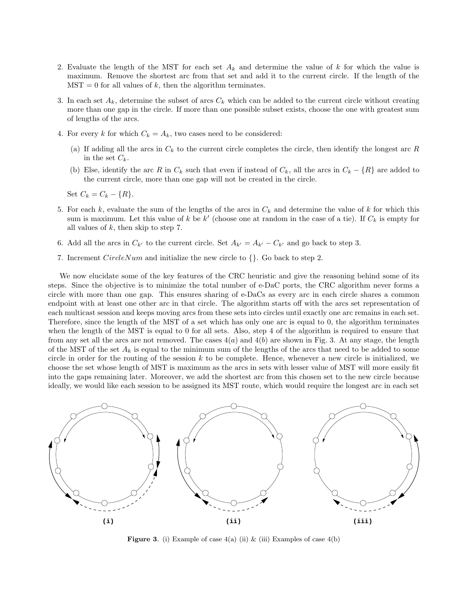- 2. Evaluate the length of the MST for each set  $A_k$  and determine the value of k for which the value is maximum. Remove the shortest arc from that set and add it to the current circle. If the length of the  $MST = 0$  for all values of k, then the algorithm terminates.
- 3. In each set  $A_k$ , determine the subset of arcs  $C_k$  which can be added to the current circle without creating more than one gap in the circle. If more than one possible subset exists, choose the one with greatest sum of lengths of the arcs.
- 4. For every k for which  $C_k = A_k$ , two cases need to be considered:
	- (a) If adding all the arcs in  $C_k$  to the current circle completes the circle, then identify the longest arc R in the set  $C_k$ .
	- (b) Else, identify the arc R in  $C_k$  such that even if instead of  $C_k$ , all the arcs in  $C_k \{R\}$  are added to the current circle, more than one gap will not be created in the circle.

Set  $C_k = C_k - \{R\}.$ 

- 5. For each k, evaluate the sum of the lengths of the arcs in  $C_k$  and determine the value of k for which this sum is maximum. Let this value of k be  $k'$  (choose one at random in the case of a tie). If  $C_k$  is empty for all values of  $k$ , then skip to step 7.
- 6. Add all the arcs in  $C_{k'}$  to the current circle. Set  $A_{k'} = A_{k'} C_{k'}$  and go back to step 3.
- 7. Increment  $CircleNum$  and initialize the new circle to  $\{\}$ . Go back to step 2.

We now elucidate some of the key features of the CRC heuristic and give the reasoning behind some of its steps. Since the objective is to minimize the total number of e-DaC ports, the CRC algorithm never forms a circle with more than one gap. This ensures sharing of e-DaCs as every arc in each circle shares a common endpoint with at least one other arc in that circle. The algorithm starts off with the arcs set representation of each multicast session and keeps moving arcs from these sets into circles until exactly one arc remains in each set. Therefore, since the length of the MST of a set which has only one arc is equal to 0, the algorithm terminates when the length of the MST is equal to 0 for all sets. Also, step 4 of the algorithm is required to ensure that from any set all the arcs are not removed. The cases  $4(a)$  and  $4(b)$  are shown in Fig. 3. At any stage, the length of the MST of the set  $A_k$  is equal to the minimum sum of the lengths of the arcs that need to be added to some circle in order for the routing of the session  $k$  to be complete. Hence, whenever a new circle is initialized, we choose the set whose length of MST is maximum as the arcs in sets with lesser value of MST will more easily fit into the gaps remaining later. Moreover, we add the shortest arc from this chosen set to the new circle because ideally, we would like each session to be assigned its MST route, which would require the longest arc in each set



**Figure 3.** (i) Example of case  $4(a)$  (ii) & (iii) Examples of case  $4(b)$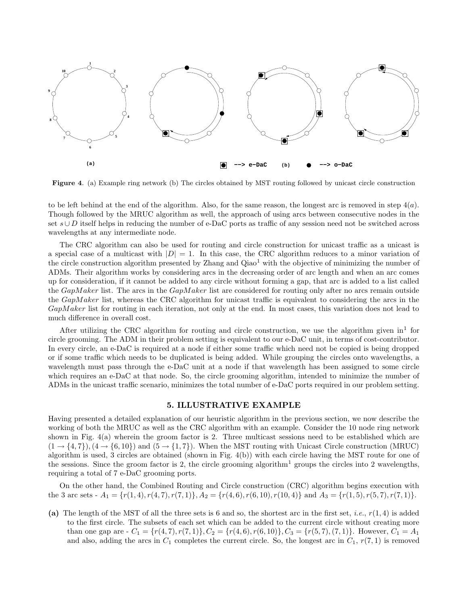

Figure 4. (a) Example ring network (b) The circles obtained by MST routing followed by unicast circle construction

to be left behind at the end of the algorithm. Also, for the same reason, the longest arc is removed in step  $4(a)$ . Though followed by the MRUC algorithm as well, the approach of using arcs between consecutive nodes in the set  $s \cup D$  itself helps in reducing the number of e-DaC ports as traffic of any session need not be switched across wavelengths at any intermediate node.

The CRC algorithm can also be used for routing and circle construction for unicast traffic as a unicast is a special case of a multicast with  $|D| = 1$ . In this case, the CRC algorithm reduces to a minor variation of the circle construction algorithm presented by  $\text{Zhang}$  and  $\text{Qiao}^1$  with the objective of minimizing the number of ADMs. Their algorithm works by considering arcs in the decreasing order of arc length and when an arc comes up for consideration, if it cannot be added to any circle without forming a gap, that arc is added to a list called the  $GapMaker$  list. The arcs in the  $GapMaker$  list are considered for routing only after no arcs remain outside the GapMaker list, whereas the CRC algorithm for unicast traffic is equivalent to considering the arcs in the GapMaker list for routing in each iteration, not only at the end. In most cases, this variation does not lead to much difference in overall cost.

After utilizing the CRC algorithm for routing and circle construction, we use the algorithm given  $\ln^1$  for circle grooming. The ADM in their problem setting is equivalent to our e-DaC unit, in terms of cost-contributor. In every circle, an e-DaC is required at a node if either some traffic which need not be copied is being dropped or if some traffic which needs to be duplicated is being added. While grouping the circles onto wavelengths, a wavelength must pass through the e-DaC unit at a node if that wavelength has been assigned to some circle which requires an e-DaC at that node. So, the circle grooming algorithm, intended to minimize the number of ADMs in the unicast traffic scenario, minimizes the total number of e-DaC ports required in our problem setting.

#### 5. ILLUSTRATIVE EXAMPLE

Having presented a detailed explanation of our heuristic algorithm in the previous section, we now describe the working of both the MRUC as well as the CRC algorithm with an example. Consider the 10 node ring network shown in Fig. 4(a) wherein the groom factor is 2. Three multicast sessions need to be established which are  $(1 \rightarrow \{4, 7\}), (4 \rightarrow \{6, 10\})$  and  $(5 \rightarrow \{1, 7\}).$  When the MST routing with Unicast Circle construction (MRUC) algorithm is used, 3 circles are obtained (shown in Fig. 4(b)) with each circle having the MST route for one of the sessions. Since the groom factor is 2, the circle grooming algorithm<sup>1</sup> groups the circles into 2 wavelengths, requiring a total of 7 e-DaC grooming ports.

On the other hand, the Combined Routing and Circle construction (CRC) algorithm begins execution with the 3 arc sets -  $A_1 = \{r(1,4), r(4,7), r(7,1)\}, A_2 = \{r(4,6), r(6,10), r(10,4)\}$  and  $A_3 = \{r(1,5), r(5,7), r(7,1)\}.$ 

(a) The length of the MST of all the three sets is 6 and so, the shortest arc in the first set, *i.e.*,  $r(1, 4)$  is added to the first circle. The subsets of each set which can be added to the current circle without creating more than one gap are  $-C_1 = \{r(4, 7), r(7, 1)\}, C_2 = \{r(4, 6), r(6, 10)\}, C_3 = \{r(5, 7), (7, 1)\}.$  However,  $C_1 = A_1$ and also, adding the arcs in  $C_1$  completes the current circle. So, the longest arc in  $C_1$ ,  $r(7, 1)$  is removed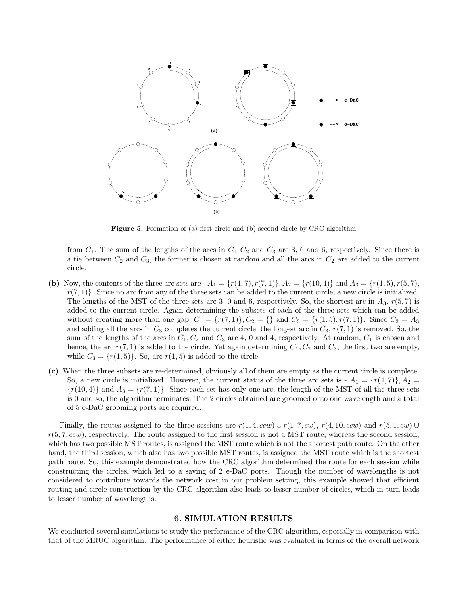

Figure 5. Formation of (a) first circle and (b) second circle by CRC algorithm

from  $C_1$ . The sum of the lengths of the arcs in  $C_1$ ,  $C_2$  and  $C_3$  are 3, 6 and 6, respectively. Since there is a tie between  $C_2$  and  $C_3$ , the former is chosen at random and all the arcs in  $C_2$  are added to the current circle.

- (b) Now, the contents of the three arc sets are  $-A_1 = \{r(4,7), r(7,1)\}, A_2 = \{r(10,4)\}$  and  $A_3 = \{r(1,5), r(5,7),$  $r(7, 1)$ . Since no arc from any of the three sets can be added to the current circle, a new circle is initialized. The lengths of the MST of the three sets are 3, 0 and 6, respectively. So, the shortest arc in  $A_3$ ,  $r(5, 7)$  is added to the current circle. Again determining the subsets of each of the three sets which can be added without creating more than one gap,  $C_1 = \{r(7, 1)\}, C_2 = \{\}\$ and  $C_3 = \{r(1, 5), r(7, 1)\}.$  Since  $C_3 = A_3$ and adding all the arcs in  $C_3$  completes the current circle, the longest arc in  $C_3$ ,  $r(7, 1)$  is removed. So, the sum of the lengths of the arcs in  $C_1, C_2$  and  $C_3$  are 4, 0 and 4, respectively. At random,  $C_1$  is chosen and hence, the arc  $r(7,1)$  is added to the circle. Yet again determining  $C_1, C_2$  and  $C_3$ , the first two are empty, while  $C_3 = \{r(1, 5)\}\.$  So, arc  $r(1, 5)$  is added to the circle.
- (c) When the three subsets are re-determined, obviously all of them are empty as the current circle is complete. So, a new circle is initialized. However, the current status of the three arc sets is  $-A_1 = \{r(4,7)\}\,$ ,  $A_2 =$  ${r(10, 4)}$  and  $A_3 = {r(7, 1)}$ . Since each set has only one arc, the length of the MST of all the three sets is 0 and so, the algorithm terminates. The 2 circles obtained are groomed onto one wavelength and a total of 5 e-DaC grooming ports are required.

Finally, the routes assigned to the three sessions are  $r(1, 4, ccw) \cup r(1, 7, cw)$ ,  $r(4, 10, ccw)$  and  $r(5, 1, cw) \cup$  $r(5, 7, ccw)$ , respectively. The route assigned to the first session is not a MST route, whereas the second session, which has two possible MST routes, is assigned the MST route which is not the shortest path route. On the other hand, the third session, which also has two possible MST routes, is assigned the MST route which is the shortest path route. So, this example demonstrated how the CRC algorithm determined the route for each session while constructing the circles, which led to a saving of 2 e-DaC ports. Though the number of wavelengths is not considered to contribute towards the network cost in our problem setting, this example showed that efficient routing and circle construction by the CRC algorithm also leads to lesser number of circles, which in turn leads to lesser number of wavelengths.

### 6. SIMULATION RESULTS

We conducted several simulations to study the performance of the CRC algorithm, especially in comparison with that of the MRUC algorithm. The performance of either heuristic was evaluated in terms of the overall network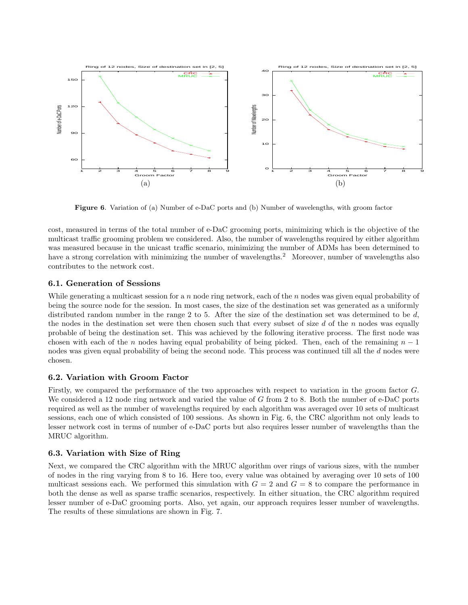

Figure 6. Variation of (a) Number of e-DaC ports and (b) Number of wavelengths, with groom factor

cost, measured in terms of the total number of e-DaC grooming ports, minimizing which is the objective of the multicast traffic grooming problem we considered. Also, the number of wavelengths required by either algorithm was measured because in the unicast traffic scenario, minimizing the number of ADMs has been determined to have a strong correlation with minimizing the number of wavelengths.<sup>2</sup> Moreover, number of wavelengths also contributes to the network cost.

# 6.1. Generation of Sessions

While generating a multicast session for a n node ring network, each of the n nodes was given equal probability of being the source node for the session. In most cases, the size of the destination set was generated as a uniformly distributed random number in the range 2 to 5. After the size of the destination set was determined to be  $d$ , the nodes in the destination set were then chosen such that every subset of size  $d$  of the  $n$  nodes was equally probable of being the destination set. This was achieved by the following iterative process. The first node was chosen with each of the n nodes having equal probability of being picked. Then, each of the remaining  $n-1$ nodes was given equal probability of being the second node. This process was continued till all the d nodes were chosen.

# 6.2. Variation with Groom Factor

Firstly, we compared the performance of the two approaches with respect to variation in the groom factor G. We considered a 12 node ring network and varied the value of G from 2 to 8. Both the number of e-DaC ports required as well as the number of wavelengths required by each algorithm was averaged over 10 sets of multicast sessions, each one of which consisted of 100 sessions. As shown in Fig. 6, the CRC algorithm not only leads to lesser network cost in terms of number of e-DaC ports but also requires lesser number of wavelengths than the MRUC algorithm.

# 6.3. Variation with Size of Ring

Next, we compared the CRC algorithm with the MRUC algorithm over rings of various sizes, with the number of nodes in the ring varying from 8 to 16. Here too, every value was obtained by averaging over 10 sets of 100 multicast sessions each. We performed this simulation with  $G = 2$  and  $G = 8$  to compare the performance in both the dense as well as sparse traffic scenarios, respectively. In either situation, the CRC algorithm required lesser number of e-DaC grooming ports. Also, yet again, our approach requires lesser number of wavelengths. The results of these simulations are shown in Fig. 7.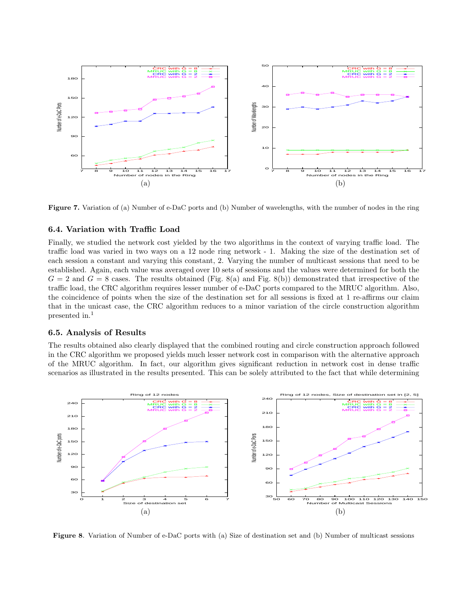

Figure 7. Variation of (a) Number of e-DaC ports and (b) Number of wavelengths, with the number of nodes in the ring

### 6.4. Variation with Traffic Load

Finally, we studied the network cost yielded by the two algorithms in the context of varying traffic load. The traffic load was varied in two ways on a 12 node ring network - 1. Making the size of the destination set of each session a constant and varying this constant, 2. Varying the number of multicast sessions that need to be established. Again, each value was averaged over 10 sets of sessions and the values were determined for both the  $G = 2$  and  $G = 8$  cases. The results obtained (Fig. 8(a) and Fig. 8(b)) demonstrated that irrespective of the traffic load, the CRC algorithm requires lesser number of e-DaC ports compared to the MRUC algorithm. Also, the coincidence of points when the size of the destination set for all sessions is fixed at 1 re-affirms our claim that in the unicast case, the CRC algorithm reduces to a minor variation of the circle construction algorithm presented in.<sup>1</sup>

#### 6.5. Analysis of Results

The results obtained also clearly displayed that the combined routing and circle construction approach followed in the CRC algorithm we proposed yields much lesser network cost in comparison with the alternative approach of the MRUC algorithm. In fact, our algorithm gives significant reduction in network cost in dense traffic scenarios as illustrated in the results presented. This can be solely attributed to the fact that while determining



Figure 8. Variation of Number of e-DaC ports with (a) Size of destination set and (b) Number of multicast sessions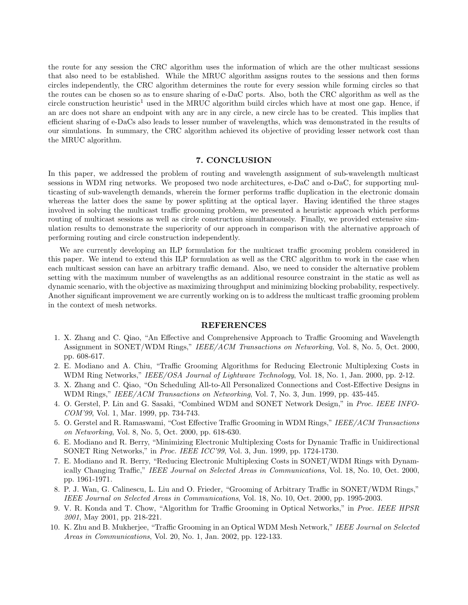the route for any session the CRC algorithm uses the information of which are the other multicast sessions that also need to be established. While the MRUC algorithm assigns routes to the sessions and then forms circles independently, the CRC algorithm determines the route for every session while forming circles so that the routes can be chosen so as to ensure sharing of e-DaC ports. Also, both the CRC algorithm as well as the circle construction heuristic<sup>1</sup> used in the MRUC algorithm build circles which have at most one gap. Hence, if an arc does not share an endpoint with any arc in any circle, a new circle has to be created. This implies that efficient sharing of e-DaCs also leads to lesser number of wavelengths, which was demonstrated in the results of our simulations. In summary, the CRC algorithm achieved its objective of providing lesser network cost than the MRUC algorithm.

### 7. CONCLUSION

In this paper, we addressed the problem of routing and wavelength assignment of sub-wavelength multicast sessions in WDM ring networks. We proposed two node architectures, e-DaC and o-DaC, for supporting multicasting of sub-wavelength demands, wherein the former performs traffic duplication in the electronic domain whereas the latter does the same by power splitting at the optical layer. Having identified the three stages involved in solving the multicast traffic grooming problem, we presented a heuristic approach which performs routing of multicast sessions as well as circle construction simultaneously. Finally, we provided extensive simulation results to demonstrate the superiority of our approach in comparison with the alternative approach of performing routing and circle construction independently.

We are currently developing an ILP formulation for the multicast traffic grooming problem considered in this paper. We intend to extend this ILP formulation as well as the CRC algorithm to work in the case when each multicast session can have an arbitrary traffic demand. Also, we need to consider the alternative problem setting with the maximum number of wavelengths as an additional resource constraint in the static as well as dynamic scenario, with the objective as maximizing throughput and minimizing blocking probability, respectively. Another significant improvement we are currently working on is to address the multicast traffic grooming problem in the context of mesh networks.

### REFERENCES

- 1. X. Zhang and C. Qiao, "An Effective and Comprehensive Approach to Traffic Grooming and Wavelength Assignment in SONET/WDM Rings," IEEE/ACM Transactions on Networking, Vol. 8, No. 5, Oct. 2000, pp. 608-617.
- 2. E. Modiano and A. Chiu, "Traffic Grooming Algorithms for Reducing Electronic Multiplexing Costs in WDM Ring Networks," IEEE/OSA Journal of Lightwave Technology, Vol. 18, No. 1, Jan. 2000, pp. 2-12.
- 3. X. Zhang and C. Qiao, "On Scheduling All-to-All Personalized Connections and Cost-Effective Designs in WDM Rings," IEEE/ACM Transactions on Networking, Vol. 7, No. 3, Jun. 1999, pp. 435-445.
- 4. O. Gerstel, P. Lin and G. Sasaki, "Combined WDM and SONET Network Design," in Proc. IEEE INFO-COM'99, Vol. 1, Mar. 1999, pp. 734-743.
- 5. O. Gerstel and R. Ramaswami, "Cost Effective Traffic Grooming in WDM Rings," IEEE/ACM Transactions on Networking, Vol. 8, No. 5, Oct. 2000, pp. 618-630.
- 6. E. Modiano and R. Berry, "Minimizing Electronic Multiplexing Costs for Dynamic Traffic in Unidirectional SONET Ring Networks," in Proc. IEEE ICC'99, Vol. 3, Jun. 1999, pp. 1724-1730.
- 7. E. Modiano and R. Berry, "Reducing Electronic Multiplexing Costs in SONET/WDM Rings with Dynamically Changing Traffic," IEEE Journal on Selected Areas in Communications, Vol. 18, No. 10, Oct. 2000, pp. 1961-1971.
- 8. P. J. Wan, G. Calinescu, L. Liu and O. Frieder, "Grooming of Arbitrary Traffic in SONET/WDM Rings," IEEE Journal on Selected Areas in Communications, Vol. 18, No. 10, Oct. 2000, pp. 1995-2003.
- 9. V. R. Konda and T. Chow, "Algorithm for Traffic Grooming in Optical Networks," in Proc. IEEE HPSR 2001, May 2001, pp. 218-221.
- 10. K. Zhu and B. Mukherjee, "Traffic Grooming in an Optical WDM Mesh Network," IEEE Journal on Selected Areas in Communications, Vol. 20, No. 1, Jan. 2002, pp. 122-133.